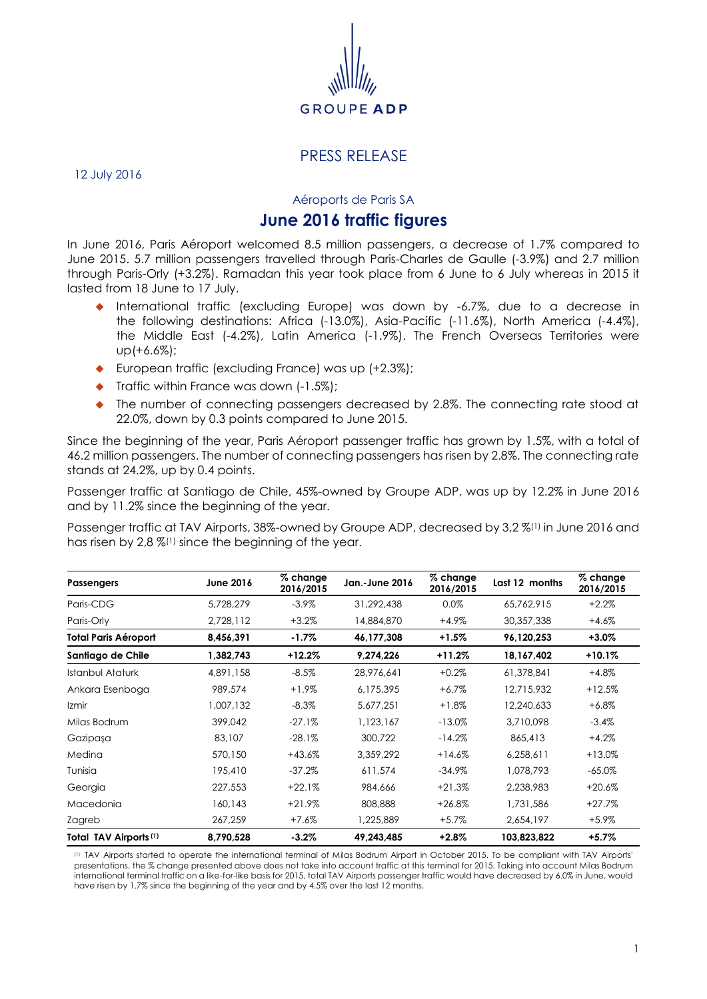

## PRESS RELEASE

12 July 2016

Aéroports de Paris SA

## **June 2016 traffic figures**

In June 2016, Paris Aéroport welcomed 8.5 million passengers, a decrease of 1.7% compared to June 2015. 5.7 million passengers travelled through Paris-Charles de Gaulle (-3.9%) and 2.7 million through Paris-Orly (+3.2%). Ramadan this year took place from 6 June to 6 July whereas in 2015 it lasted from 18 June to 17 July.

- International traffic (excluding Europe) was down by -6.7%, due to a decrease in the following destinations: Africa (-13.0%), Asia-Pacific (-11.6%), North America (-4.4%), the Middle East (-4.2%), Latin America (-1.9%). The French Overseas Territories were up(+6.6%);
- ◆ European traffic (excluding France) was up (+2.3%);
- $\bullet$  Traffic within France was down  $(-1.5\%)$ ;
- The number of connecting passengers decreased by 2.8%. The connecting rate stood at 22.0%, down by 0.3 points compared to June 2015.

Since the beginning of the year, Paris Aéroport passenger traffic has grown by 1.5%, with a total of 46.2 million passengers. The number of connecting passengers has risen by 2.8%. The connecting rate stands at 24.2%, up by 0.4 points.

Passenger traffic at Santiago de Chile, 45%-owned by Groupe ADP, was up by 12.2% in June 2016 and by 11.2% since the beginning of the year.

Passenger traffic at TAV Airports, 38%-owned by Groupe ADP, decreased by 3,2 %(1) in June 2016 and has risen by 2,8 %<sup>(1)</sup> since the beginning of the year.

| <b>Passengers</b>           | <b>June 2016</b> | $%$ change<br>2016/2015 | Jan.-June 2016 | % change<br>2016/2015 | Last 12 months | % change<br>2016/2015 |
|-----------------------------|------------------|-------------------------|----------------|-----------------------|----------------|-----------------------|
| Paris-CDG                   | 5.728.279        | $-3.9\%$                | 31,292,438     | 0.0%                  | 65.762.915     | $+2.2%$               |
| Paris-Orly                  | 2,728,112        | $+3.2%$                 | 14,884,870     | $+4.9\%$              | 30,357,338     | $+4.6\%$              |
| <b>Total Paris Aéroport</b> | 8,456,391        | $-1.7\%$                | 46,177,308     | +1.5%                 | 96,120,253     | $+3.0\%$              |
| Santiago de Chile           | 1,382,743        | $+12.2%$                | 9,274,226      | $+11.2%$              | 18,167,402     | $+10.1%$              |
| Istanbul Ataturk            | 4,891,158        | $-8.5\%$                | 28,976,641     | $+0.2%$               | 61,378,841     | $+4.8\%$              |
| Ankara Esenboga             | 989,574          | $+1.9%$                 | 6,175,395      | $+6.7\%$              | 12,715,932     | $+12.5%$              |
| Izmir                       | 1,007,132        | $-8.3%$                 | 5,677,251      | $+1.8%$               | 12,240,633     | $+6.8\%$              |
| Milas Bodrum                | 399.042          | $-27.1%$                | 1,123,167      | $-13.0\%$             | 3,710,098      | $-3.4%$               |
| Gazipaşa                    | 83,107           | $-28.1%$                | 300.722        | $-14.2%$              | 865,413        | $+4.2%$               |
| Medina                      | 570,150          | $+43.6%$                | 3,359,292      | $+14.6%$              | 6,258,611      | $+13.0%$              |
| Tunisia                     | 195,410          | $-37.2%$                | 611,574        | $-34.9\%$             | 1,078,793      | $-65.0\%$             |
| Georgia                     | 227,553          | $+22.1%$                | 984.666        | $+21.3%$              | 2,238,983      | $+20.6%$              |
| Macedonia                   | 160,143          | $+21.9%$                | 808,888        | $+26.8%$              | 1,731,586      | $+27.7%$              |
| Zagreb                      | 267,259          | $+7.6\%$                | 225,889        | $+5.7%$               | 2,654,197      | $+5.9%$               |
| Total TAV Airports (1)      | 8,790,528        | $-3.2%$                 | 49,243,485     | $+2.8%$               | 103,823,822    | $+5.7\%$              |

(1) TAV Airports started to operate the international terminal of Milas Bodrum Airport in October 2015. To be compliant with TAV Airports' presentations, the % change presented above does not take into account traffic at this terminal for 2015. Taking into account Milas Bodrum international terminal traffic on a like-for-like basis for 2015, total TAV Airports passenger traffic would have decreased by 6.0% in June, would have risen by 1.7% since the beginning of the year and by 4.5% over the last 12 months.